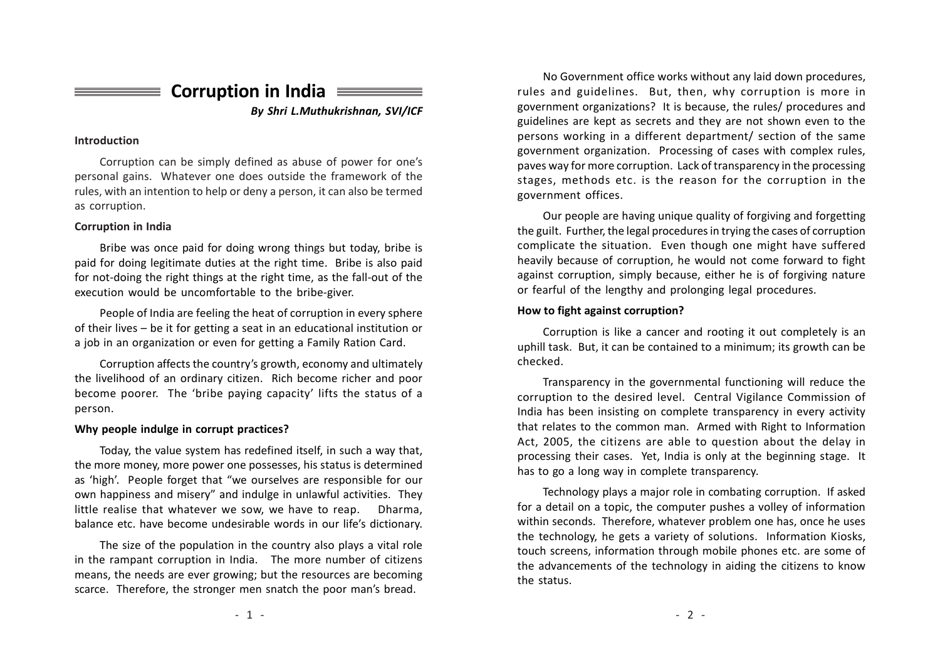Corruption in India

By Shri L.Muthukrishnan, SVI/ICF

#### Introduction

Corruption can be simply defined as abuse of po wer for one's personal gains. Whatever one does outside the framework of the rules, with an intention to help or deny a person, it can also be termed as corruption.

### Corruption in India

Bribe was once paid for doing wrong things but toda y, bribe is paid for doing legitimate duties at the right time. Bribe is also paid for not-doing the right things at the right time, as the fall-out of the execution would be uncomfortable to the bribe-giver.

People of India are feeling the heat of corruption in every sphere of their lives – be it for getting a seat in an educational institution or a job in an organization or even for getting a Family Ration Card.

Corruption affects the country's growth, economy and ultimately the livelihood of an ordinary citizen. Rich become richer and poor become poorer. The 'bribe paying capacity' lifts the status of a person.

#### Why people indulge in corrupt practices?

Toda y, the value s ystem has redefined itself, in such a way that, the more mone y, more po wer one possesses, his status is determined as 'high'. People forget that "we ourselves are responsible for our own happiness and misery" and indulge in unlawful activities. They little realise that whatever we sow, we have to reap. Dharma, balance etc. ha ve become undesirable words in our life's dictionar y.

The size of the population in the country also plays a vital role in the rampant corruption in India. The more number of citizens means, the needs are ever growing; but the resources are becoming scarce. Therefore, the stronger men snatch the poor man's bread.

No Government office works without any laid down procedures, rules and guidelines. But, then, why corruption is more in government organizations? It is because, the rules/ procedures and guidelines are kept as secrets and they are not shown even to the persons working in a different department/ section of the same government organization. Processing of cases with complex rules, paves way for more corruption. Lack of transparency in the processing stages, methods etc. is the reason for the corruption in the government offices.

Our people are having unique quality of forgiving and forgetting the guilt. Further, the legal procedures in trying the cases of corruption complicate the situation. Even though one might have suffered heavily because of corruption, he would not come forward to fight against corruption, simply because, either he is of forgiving nature or fearful of the lengthy and prolonging legal procedures.

### How to fight against corruption?

Corruption is like a cancer and rooting it out completely is an uphill task. But, it can be contained to a minimum; its growth can be checked.

Transparency in the g o vernmental functioning will reduce the corruption to the desired level. Central Vigilance Commission of India has been insisting on complete transparency in every activity that relates to the common man. Armed with Right to Information Act, 2005, the citizens are able to question about the delay in processing their cases. Yet, India is only at the beginning stage. It has to go a long way in complete transparency.

Technology pla ys a major role in combating corruption. If asked for a detail on a topic, the computer pushes a volley of information within seconds. Therefore, whatever problem one has, once he uses the technology, he gets a variety of solutions. Information Kiosks, touch screens, information through mobile phones etc. are some of the advancements of the technology in aiding the citizens to know the status.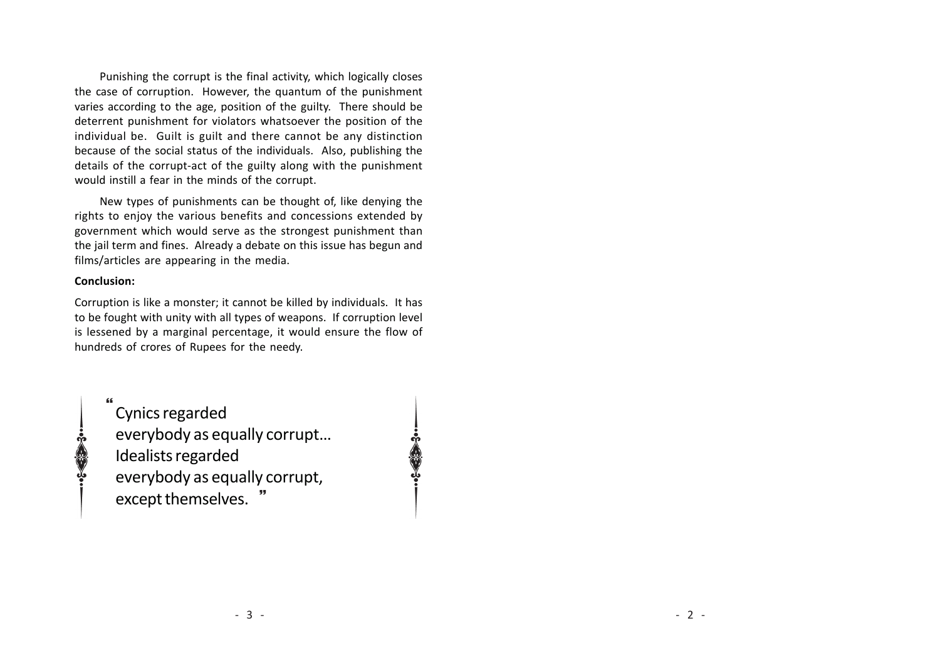Punishing the corrupt is the final activity, which logically closes the case of corruption. However, the quantum of the punishment varies according to the age, position of the guilty. There should be deterrent punishment for violators whatsoever the position of the individual be. Guilt is guilt and there cannot be any distinction because of the social status of the individuals. Also, publishing the details of the corrupt-act of the guilty along with the punishment would instill a fear in the minds of the corrupt.

New types of punishments can be thought of, like denying the rights to enjoy the various benefits and concessions extended by government which would serve as the strongest punishment than the jail term and fines. Already a debate on this issue has begun and films/articles are appearing in the media.

### Conclusion:

Corruption is like a monster; it cannot be killed by individuals. It has to be fought with unity with all types of weapons. If corruption level is lessened by a marginal percentage, it would ensure the flow of hundreds of crores of Rupees for the needy.

Cynics regarded everybody as equally corrupt… Idealists regarded everybody as equally corrupt, } except themselves. " }

C.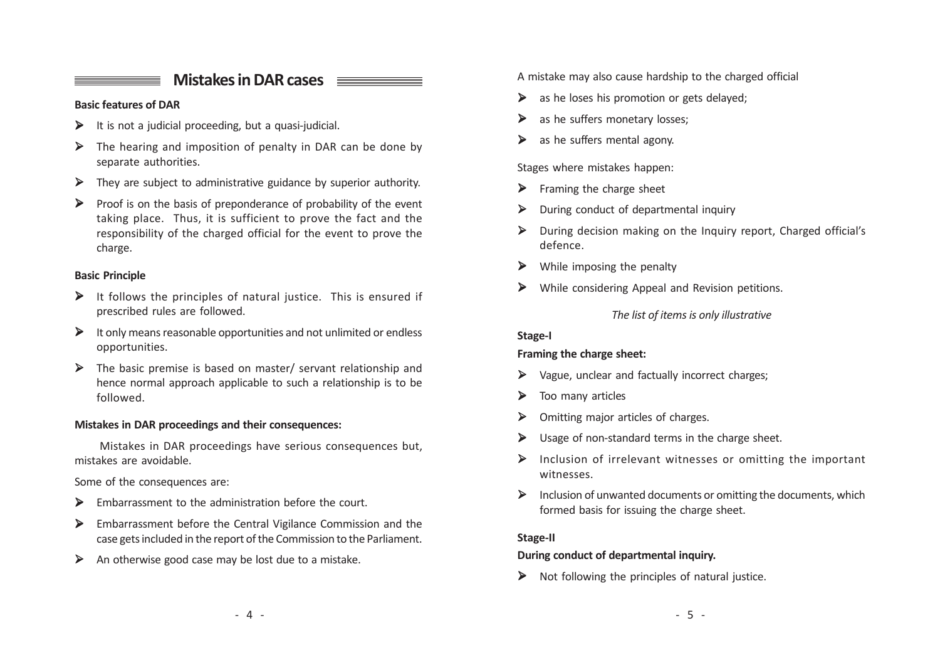## Mistakes in DAR cases  $\equiv$

### Basic features of DAR

- $\triangleright$  It is not a judicial proceeding, but a quasi-judicial.
- $\triangleright$  The hearing and imposition of penalty in DAR can be done by separate authorities.
- $\triangleright$  They are subject to administrative guidance by superior authority.
- $\triangleright$  Proof is on the basis of preponderance of probability of the event taking place. Thus, it is sufficient to prove the fact and the responsibility of the charged official for the event to prove the charge.

### Basic Principle

- $\triangleright$  It follows the principles of natural justice. This is ensured if prescribed rules are followed.
- $\triangleright$  It only means reasonable opportunities and not unlimited or endless opportunities.
- Ø The basic premise is based on master/ servant relationship and hence normal approach applicable to such a relationship is to be followed.

### Mistakes in DAR proceedings and their consequences:

Mistakes in DAR proceedings have serious consequences but, mistakes are avoidable.

Some of the consequences are:

- $\triangleright$  Embarrassment to the administration before the court.
- Ø Embarrassment before the Central Vigilance Commission and the case gets included in the report of the Commission to the Parliament.
- $\triangleright$  An otherwise good case may be lost due to a mistake.

A mistake may also cause hardship to the charged official

- $\triangleright$  as he loses his promotion or gets delayed;
- $\triangleright$  as he suffers monetary losses;
- $\triangleright$  as he suffers mental agony.

Stages where mistakes happen:

- $\triangleright$  Framing the charge sheet
- $\triangleright$  During conduct of departmental inquiry
- Ø During decision making on the Inquiry report, Charged official's defence.
- $\triangleright$  While imposing the penalty
- Ø While considering Appeal and Revision petitions.

### The list of items is only illustrative

### Stage-I

## Framing the charge sheet:

- $\triangleright$  Vague, unclear and factually incorrect charges;
- $\triangleright$  Too many articles
- $\triangleright$  Omitting major articles of charges.
- $\triangleright$  Usage of non-standard terms in the charge sheet.
- $\triangleright$  Inclusion of irrelevant witnesses or omitting the important witnesses.
- $\triangleright$  Inclusion of unwanted documents or omitting the documents, which formed basis for issuing the charge sheet.

## Stage-II

### During conduct of departmental inquiry.

 $\triangleright$  Not following the principles of natural justice.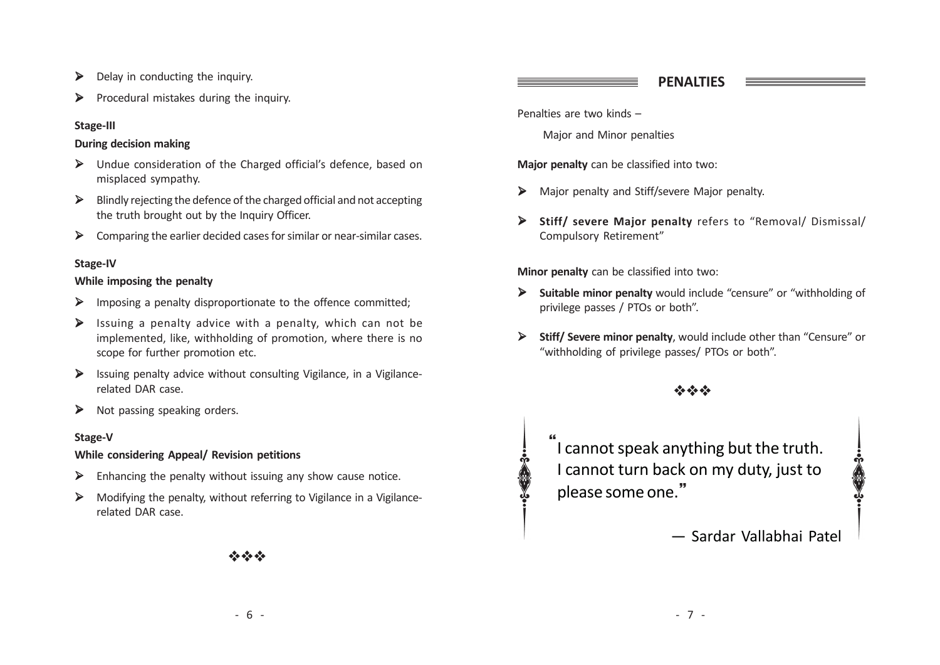- $\triangleright$  Delay in conducting the inquiry.
- $\triangleright$  Procedural mistakes during the inquiry.

## Stage-III

## During decision making

- Ø Undue consideration of the Charged official's defence, based on misplaced sympathy.
- $\triangleright$  Blindly rejecting the defence of the charged official and not accepting the truth brought out by the Inquiry Officer.
- $\triangleright$  Comparing the earlier decided cases for similar or near-similar cases.

## Stage-IV

## While imposing the penalty

- Ø Imposing a penalty disproportionate to the offence committed;
- $\triangleright$  Issuing a penalty advice with a penalty, which can not be implemented, like, withholding of promotion, where there is no scope for further promotion etc.
- $\triangleright$  Issuing penalty advice without consulting Vigilance, in a Vigilancerelated DAR case.
- $\triangleright$  Not passing speaking orders.

## Stage-V

## While considering Appeal/ Revision petitions

- $\triangleright$  Enhancing the penalty without issuing any show cause notice.
- $\triangleright$  Modifying the penalty, without referring to Vigilance in a Vigilancerelated DAR case.

## PENALTIES

Penalties are two kinds –

Major and Minor penalties

Major penalty can be classified into two:

- Ø Major penalty and Stiff/severe Major penalty.
- Ø Stiff/ severe Major penalty refers to "Removal/ Dismissal/ Compulsory Retirement"

Minor penalty can be classified into two:

- Ø Suitable minor penalty would include "censure" or "withholding of privilege passes / PTOs or both".
- Ø Stiff/ Severe minor penalty, would include other than "Censure" or "withholding of privilege passes/ PTOs or both".

# viv viv viv

} \<br>" I cannot speak anything but the truth. I cannot turn back on my duty, just to please some one.

— Sardar Vallabhai Patel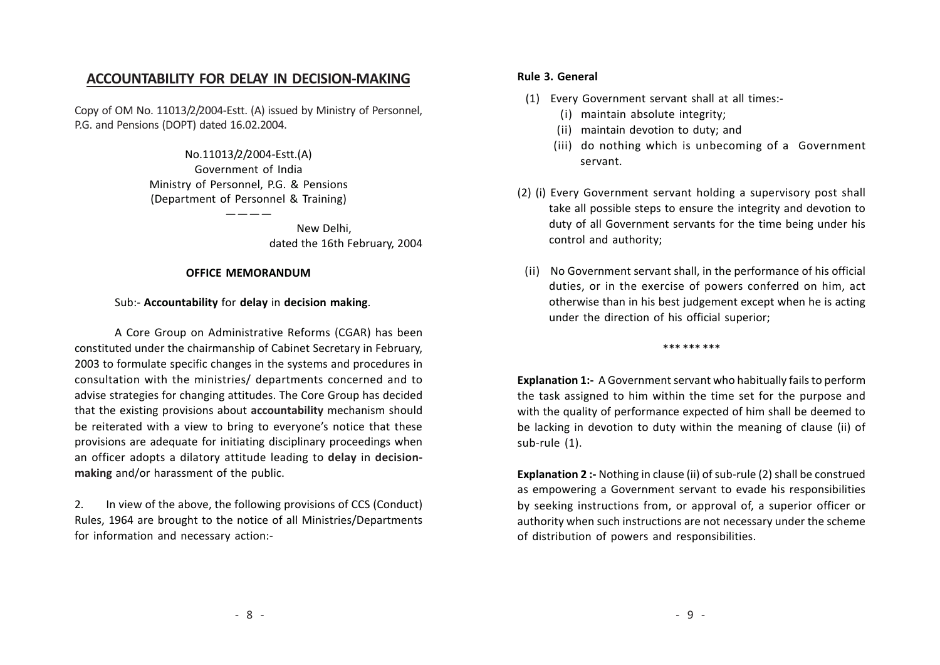## ACCOUNTABILITY FOR DELAY IN DECISION-MAKING

Copy of OM No. 11013/2/2004-Estt. (A) issued by Ministry of Personnel, P.G. and Pensions (DOPT) dated 16.02.2004.

> No.11013/2/2004-Estt.(A) Government of India Ministry of Personnel, P.G. & Pensions (Department of Personnel & Training)

> > $-- \qquad$  New Delhi, dated the 16th February, 2004

### OFFICE MEMORANDUM

### Sub:- Accountability for delay in decision making.

A Core Group on Administrative Reforms (CGAR) has been constituted under the chairmanship of Cabinet Secretary in February, 2003 to formulate specific changes in the systems and procedures in consultation with the ministries/ departments concerned and to advise strategies for changing attitudes. The Core Group has decided that the existing provisions about accountability mechanism should be reiterated with a view to bring to everyone's notice that these provisions are adequate for initiating disciplinary proceedings when an officer adopts a dilatory attitude leading to delay in decisionmaking and/or harassment of the public.

2. In view of the above, the following provisions of CCS (Conduct) Rules, 1964 are brought to the notice of all Ministries/Departments for information and necessary action:-

### Rule 3. General

- (1) Every Government servant shall at all times:-
	- (i) maintain absolute integrity;
	- (ii) maintain devotion to duty; and
	- (iii) do nothing which is unbecoming of a Government servant.
- (2) (i) Every Government servant holding a supervisory post shall take all possible steps to ensure the integrity and devotion to duty of all Government servants for the time being under his control and authority;
- (ii) No Government servant shall, in the performance of his official duties, or in the exercise of powers conferred on him, act otherwise than in his best judgement except when he is acting under the direction of his official superior;

\*\*\* \*\*\* \*\*\*

Explanation 1:- A Government servant who habitually fails to perform the task assigned to him within the time set for the purpose and with the quality of performance expected of him shall be deemed to be lacking in devotion to duty within the meaning of clause (ii) of sub-rule (1).

Explanation 2 :- Nothing in clause (ii) of sub-rule (2) shall be construed as empowering a Government servant to evade his responsibilities by seeking instructions from, or approval of, a superior officer or authority when such instructions are not necessary under the scheme of distribution of powers and responsibilities.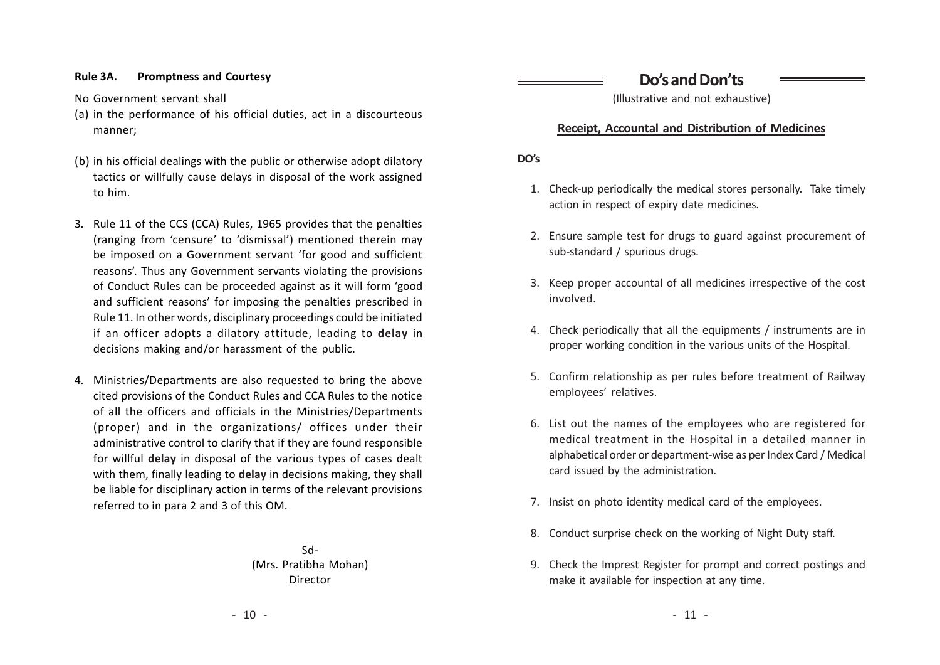### Rule 3A. Promptness and Courtesy

No Government servant shall

- (a) in the performance of his official duties, act in a discourteous manner;
- (b) in his official dealings with the public or otherwise adopt dilatory tactics or willfully cause delays in disposal of the work assigned to him.
- 3. Rule 11 of the CCS (CCA) Rules, 1965 provides that the penalties (ranging from 'censure' to 'dismissal') mentioned therein ma y be imposed on a Government servant 'for good and sufficient reasons'. Thus any Government servants violating the provisions of Conduct Rules can be proceeded against as it will form ' good and sufficient reasons' for imposing the penalties prescribed in Rule 11. In other words, disciplinary proceedings could be initiated if an officer adopts a dilatory attitude, leading to delay in decisions making and/or harassment of the public.
- 4. Ministries/Departments are also requested to bring the above cited provisions of the Conduct Rules and CCA Rules to the notice of all the officers and officials in the Ministries/Departments (proper) and in the organizations/ offices under their administrative control to clarify that if they are found responsible for willful delay in disposal of the various types of cases dealt with them, finally leading to delay in decisions making, they shall be liable for disciplinary action in terms of the relevant provisions referred to in para 2 and 3 of this OM.

Sd- (Mrs. Pratibha Mohan) Director

Do's and Don't s

(Illustrative and not exhaustive)

## Receipt, Accountal and Distribution of Medicines

DO's

- 1. Check-up periodically the medical stores personally. Take timely action in respect of expiry date medicines.
- 2. Ensure sample test for drugs to guard against procurement of sub-standard / spurious drugs.
- 3. Keep proper accountal of all medicines irrespective of the cost involved.
- 4. Check periodically that all the equipments / instruments are in proper working condition in the various units of the Hospital.
- 5. Confirm relationship as per rules before treatment of Railway employees' relatives.
- 6. List out the names of the employees who are registered for medical treatment in the Hospital in a detailed manner in alphabetical order or department-wise as per Index Card / Medical card issued by the administration.
- 7. Insist on photo identity medical card of the employees.
- 8. Conduct surprise check on the working of Night Duty staff.
- 9. Check the Imprest Register for prompt and correct postings and make it available for inspection at any time.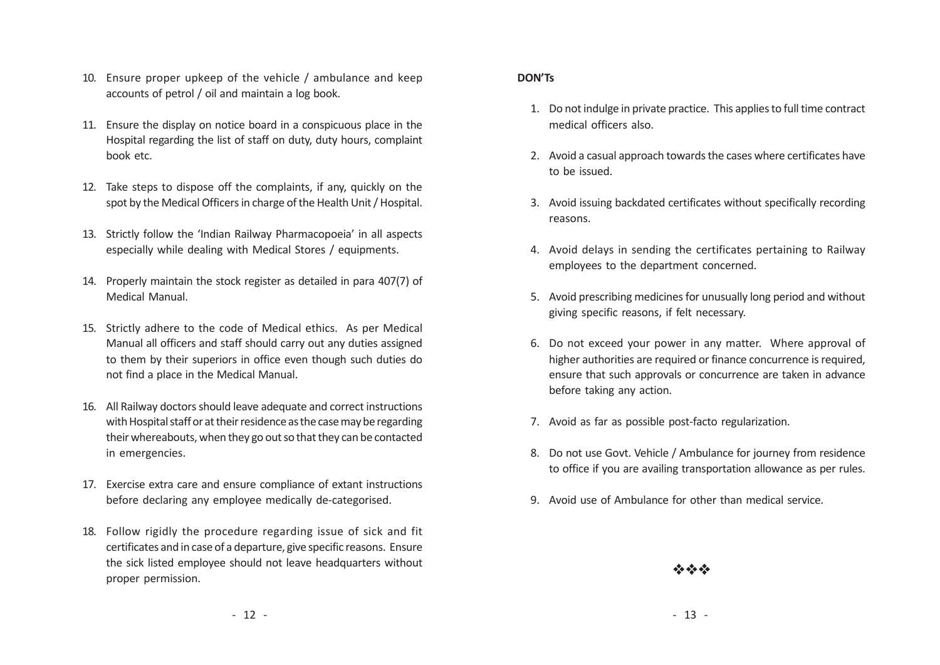- 10. Ensure proper upkeep of the vehicle / ambulance and keep accounts of petrol / oil and maintain a log book.
- 11. Ensure the display on notice board in a conspicuous place in the Hospital regarding the list of staff on duty, duty hours, complaint book etc.
- 12. Take steps to dispose off the complaints, if an y, quickly on the spot by the Medical Officers in charge of the Health Unit / Hospital.
- 13. Strictly follow the 'Indian Railway Pharmacopoeia' in all aspects especially while dealing with Medical Stores / equipments.
- 14. Properly maintain the stock register as detailed in para 407(7) of Medical Manual.
- 15. Strictly adhere to the code of Medical ethics. As per Medical Manual all officers and staff should carry out any duties assigned to them by their superiors in office even though such duties do not find a place in the Medical Manual.
- 16. All Railway doctors should leave adequate and correct instructions with Hospital staff or at their residence as the case may be regarding their whereabouts, when they go out so that they can be contacted in emergencies.
- 17. Exercise extra care and ensure compliance of extant instructions before declaring any employee medically de-categorised.
- 18. Follow rigidly the procedure regarding issue of sick and fit certificates and in case of a departure, give specific reasons. Ensure the sick listed employee should not leave headquarters without proper permission.

### DON' Ts

- 1. Do not indulge in private practice. This applies to full time contract medical officers also.
- 2. Avoid a casual approach towards the cases where certificates have to be issued.
- 3. Avoid issuing backdated certificates without specifically recording reasons.
- 4. Avoid delays in sending the certificates pertaining to Railway employees to the department concerned.
- 5. Avoid prescribing medicines for unusually long period and without giving specific reasons, if felt necessary.
- 6. Do not exceed your po wer in any matter. Where approval of higher authorities are required or finance concurrence is required, ensure that such approvals or concurrence are taken in advance before taking any action.
- 7. Avoid as far as possible post-facto regularization.
- 8. Do not use Go vt. Vehicle / Ambulance for journey from residence to office if you are availing transportation allowance as per rules.
- 9. Avoid use of Ambulance for other than medical service.

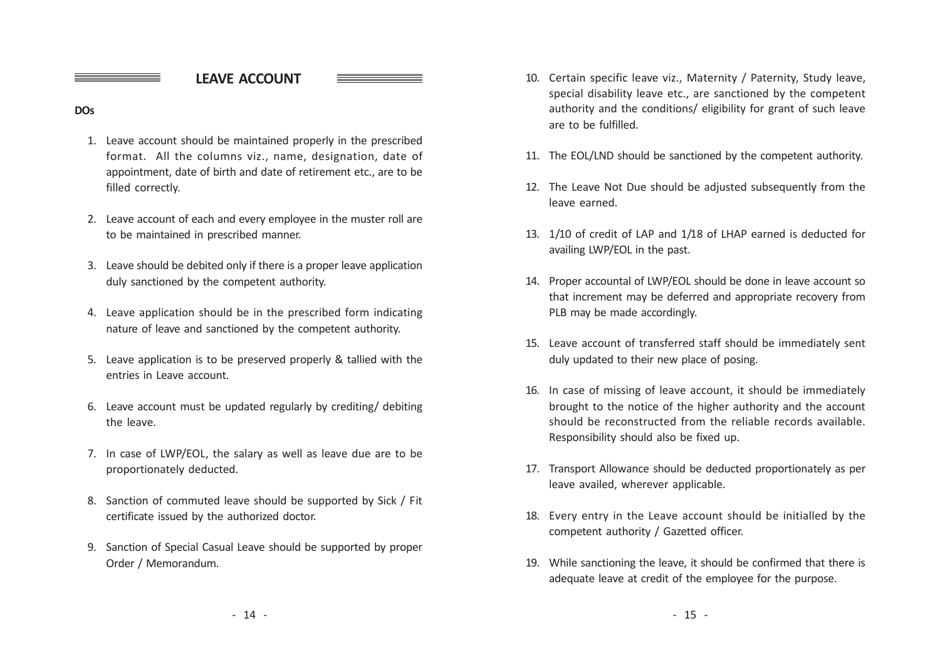LEAVE ACCOUNT

### **DOs**

- 1. Leave account should be maintained properly in the prescribed format. All the columns viz., name, designation, date of appointment, date of birth and date of retirement etc., are to be filled correctly.
- 2. Leave account of each and every employee in the muster roll are to be maintained in prescribed manner.
- 3. Leave should be debited only if there is a proper leave application duly sanctioned by the competent authority.
- 4. Leave application should be in the prescribed form indicating nature of leave and sanctioned by the competent authority.
- 5. Leave application is to be preserved properly & tallied with the entries in Leave account.
- 6. Leave account must be updated regularly by crediting/ debiting the leave.
- 7. In case of LWP/EOL, the salary as well as leave due are to be proportionately deducted.
- 8. Sanction of commuted leave should be supported by Sick / Fit certificate issued by the authorized doctor.
- 9. Sanction of Special Casual Leave should be supported by proper Order / Memorandum.
- 10. Certain specific leave viz., Maternity / Paternity, Study leave, special disability leave etc., are sanctioned by the competent authority and the conditions/ eligibility for grant of such leave are to be fulfilled.
- 11. The EOL/LND should be sanctioned by the competent authority.
- 12. The Leave Not Due should be adjusted subsequently from the leave earned.
- 13. 1/10 of credit of LAP and 1/18 of LHAP earned is deducted for availing LWP/EOL in the past.
- 14. Proper accountal of LWP/EOL should be done in leave account so that increment may be deferred and appropriate recovery from PLB may be made accordingly.
- 15. Leave account of transferred staff should be immediately sent duly updated to their new place of posing.
- 16. In case of missing of leave account, it should be immediately brought to the notice of the higher authority and the account should be reconstructed from the reliable records available. Responsibility should also be fixed up.
- 17. Transport Allowance should be deducted proportionately as per leave availed, wherever applicable.
- 18. Every entry in the Leave account should be initialled by the competent authority / Gazetted officer.
- 19. While sanctioning the leave, it should be confirmed that there is adequate leave at credit of the employee for the purpose.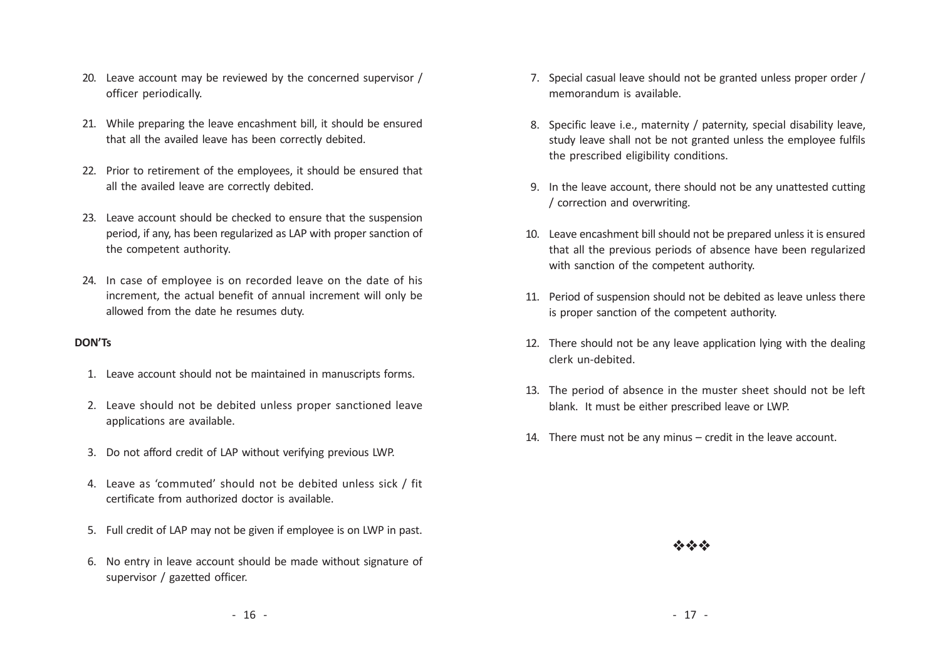- 20. Leave account may be reviewed by the concerned supervisor / officer periodically.
- 21. While preparing the leave encashment bill, it should be ensured that all the availed leave has been correctly debited.
- 22. Prior to retirement of the employees, it should be ensured that all the availed leave are correctly debited.
- 23. Leave account should be checked to ensure that the suspension period, if an y, has been regularized as LAP with proper sanction of the competent authority.
- 24. In case of employee is on recorded leave on the date of his increment, the actual benefit of annual increment will only be allowed from the date he resumes duty.

### DON' Ts

- 1. Leave account should not be maintained in manuscripts forms.
- 2. Leave should not be debited unless proper sanctioned leave applications are available.
- 3. Do not afford credit of LAP without verifying previous LWP.
- 4. Leave as 'commuted' should not be debited unless sick / fit certificate from authorized doctor is available.
- 5. Full credit of LAP may not be given if emplo yee is on LWP in past.
- 6. No entry in leave account should be made without signature of supervisor / gazetted officer.
- 7. Special casual leave should not be granted unless proper order / memorandum is available.
- 8. Specific leave i.e., maternity / paternity, special disability leave, study leave shall not be not granted unless the employee fulfils the prescribed eligibility conditions.
- 9. In the leave account, there should not be any unattested cutting / correction and overwriting.
- 10. Leave encashment bill should not be prepared unless it is ensured that all the previous periods of absence have been regularized with sanction of the competent authority.
- 11. Period of suspension should not be debited as leave unless there is proper sanction of the competent authority.
- 12. There should not be any leave application lying with the dealing clerk un-debited.
- 13. The period of absence in the muster sheet should not be left blank. It must be either prescribed leave or LWP.
- 14. There must not be any minus credit in the leave account.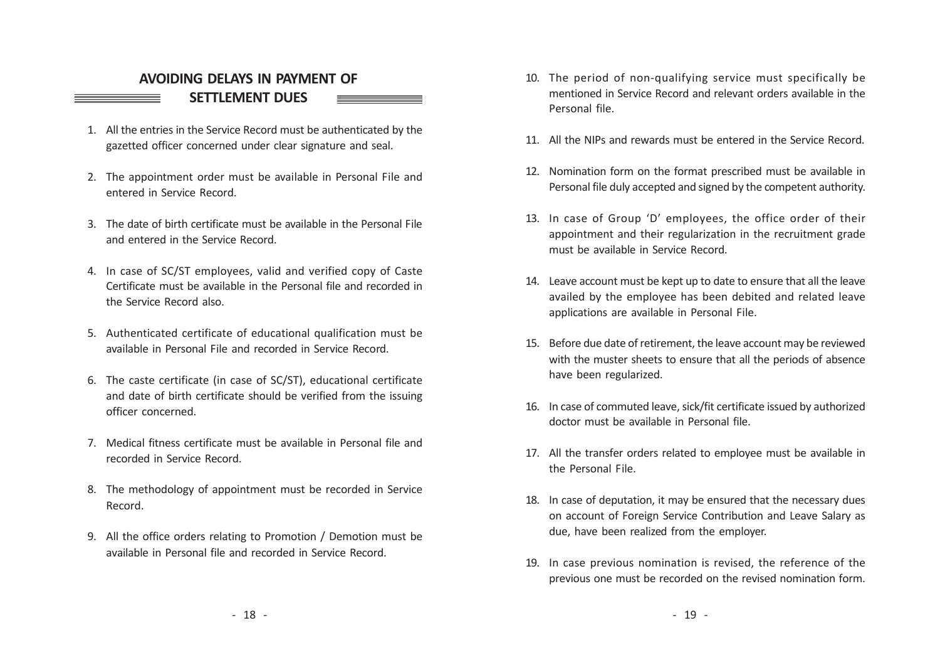# AVOIDING DELAYS IN PAYMENT OF SETTLEMENT DUES

- 1. All the entries in the Service Record must be authenticated by the gazetted officer concerned under clear signature and seal.
- 2. The appointment order must be available in Personal File and entered in Service Record.
- 3. The date of birth certificate must be available in the Personal File and entered in the Service Record.
- 4. In case of SC/ST employees, valid and verified copy of Caste Certificate must be available in the Personal file and recorded in the Service Record also.
- 5. Authenticated certificate of educational qualification must be available in Personal File and recorded in Service Record.
- 6. The caste certificate (in case of SC/ST), educational certificate and date of birth certificate should be verified from the issuing officer concerned.
- 7. Medical fitness certificate must be available in Personal file and recorded in Service Record.
- 8. The methodology of appointment must be recorded in Service Record.
- 9. All the office orders relating to Promotion / Demotion must be available in Personal file and recorded in Service Record.
- 10. The period of non-qualifying service must specifically be mentioned in Service Record and relevant orders available in the Personal file.
- 11. All the NIPs and rewards must be entered in the Service Record.
- 12. Nomination form on the format prescribed must be available in Personal file duly accepted and signed by the competent authority.
- 13. In case of Group 'D' employees, the office order of their appointment and their regularization in the recruitment grade must be available in Service Record.
- 14. Leave account must be kept up to date to ensure that all the leave availed by the employee has been debited and related leave applications are available in Personal File.
- 15. Before due date of retirement, the leave account may be reviewed with the muster sheets to ensure that all the periods of absence have been regularized.
- 16. In case of commuted leave, sick/fit certificate issued by authorized doctor must be available in Personal file.
- 17. All the transfer orders related to employee must be available in the Personal File.
- 18. In case of deputation, it may be ensured that the necessary dues on account of Foreign Service Contribution and Leave Salary as due, have been realized from the employer.
- 19. In case previous nomination is revised, the reference of the previous one must be recorded on the revised nomination form.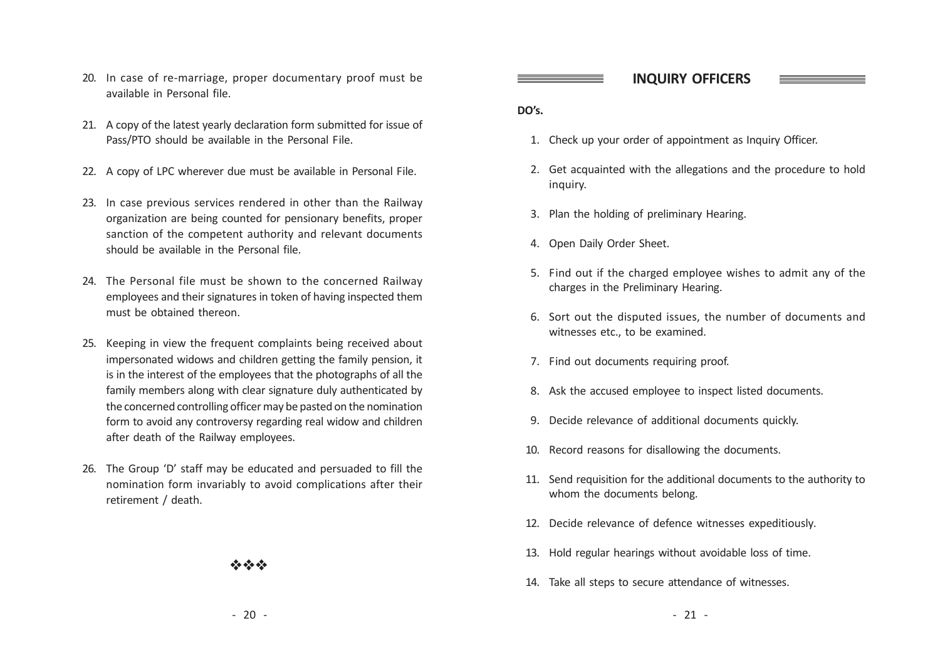- 20. In case of re-marriage, proper documentary proof must be available in Personal file.
- 21. A copy of the latest yearly declaration form submitted for issue of Pass/P TO should be a vailable in the Personal File.
- 22. A copy of LPC wherever due must be available in Personal File.
- 23. In case previous services rendered in other than the Railway organization are being counted for pensionary benefits, proper sanction of the competent authority and relevant documents should be available in the Personal file.
- 24. The Personal file must be shown to the concerned Railway employees and their signatures in token of having inspected them must be obtained thereon.
- 25. Keeping in view the frequent complaints being received about impersonated widows and children getting the family pension, it is in the interest of the employees that the photographs of all the family members along with clear signature duly authenticated by the concerned controlling officer may be pasted on the nomination form to avoid any controversy regarding real widow and children after death of the Railway employees.
- 26. The Group 'D' staff may be educated and persuaded to fill the nomination form invariably to avoid complications after their retirement / death.

## vivo de la

### INQUIRY OFFICERS

### DO's.

- 1. Check up your order of appointment as Inquiry Officer.
- 2. Get acquainted with the allegations and the procedure to hold inquiry.
- 3. Plan the holding of preliminary Hearing.
- 4. Open Daily Order Sheet.
- 5. Find out if the charged emplo yee wishes to admit any of the charges in the Preliminary Hearing.
- 6. Sort out the disputed issues, the number of documents and witnesses etc., to be examined.
- 7. Find out documents requiring proof.
- 8. Ask the accused employee to inspect listed documents.
- 9. Decide rele vance of additional documents quickly.
- 10. Record reasons for disallowing the documents.
- 11. Send requisition for the additional documents to the authority to whom the documents belong.
- 12. Decide rele vance of defence witnesses expeditiously.
- 13. Hold regular hearings without avoidable loss of time.
- 14. Take all steps to secure attendance of witnesses.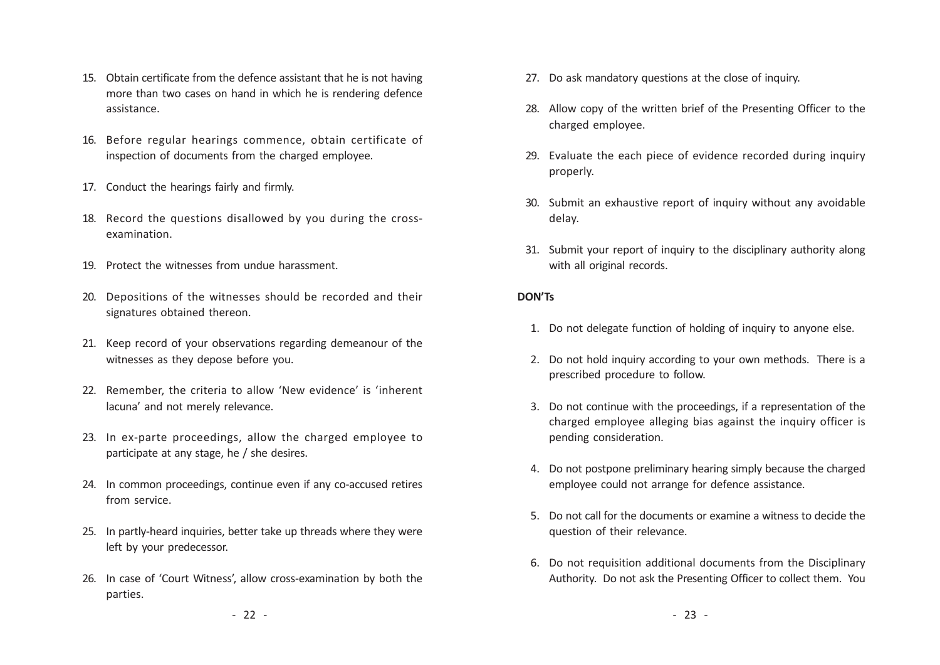- 15. Obtain certificate from the defence assistant that he is not having more than two cases on hand in which he is rendering defence assistance.
- 16. Before regular hearings commence, obtain certificate of inspection of documents from the charged employee.
- 17. Conduct the hearings fairly and firmly.
- 18. Record the questions disallowed by you during the crossexamination.
- 19. Protect the witnesses from undue harassment.
- 20. Depositions of the witnesses should be recorded and their signatures obtained thereon.
- 21. Keep record of your observations regarding demeanour of the witnesses as they depose before you.
- 22. Remember, the criteria to allow 'New evidence' is 'inherent lacuna' and not merely relevance.
- 23. In ex-parte proceedings, allow the charged employee to participate at any stage, he / she desires.
- 24. In common proceedings, continue even if any co-accused retires from service.
- 25. In partly-heard inquiries, better take up threads where they were left by your predecessor.
- 26. In case of 'Court Witness', allow cross-examination by both the parties.
- 27. Do ask mandatory questions at the close of inquiry.
- 28. Allow copy of the written brief of the Presenting Officer to the charged employee.
- 29. Evaluate the each piece of evidence recorded during inquiry properly.
- 30. Submit an exhaustive report of inquiry without any avoidable delay.
- 31. Submit your report of inquiry to the disciplinary authority along with all original records.

### DON' Ts

- 1. Do not delegate function of holding of inquiry to anyone else.
- 2. Do not hold inquiry according to your own methods. There is a prescribed procedure to follow.
- 3. Do not continue with the proceedings, if a representation of the charged employee alleging bias against the inquiry officer is pending consideration.
- 4. Do not postpone preliminary hearing simply because the charged employee could not arrange for defence assistance.
- 5. Do not call for the documents or examine a witness to decide the question of their relevance.
- 6. Do not requisition additional documents from the Disciplinary Authority. Do not ask the Presenting Officer to collect them. You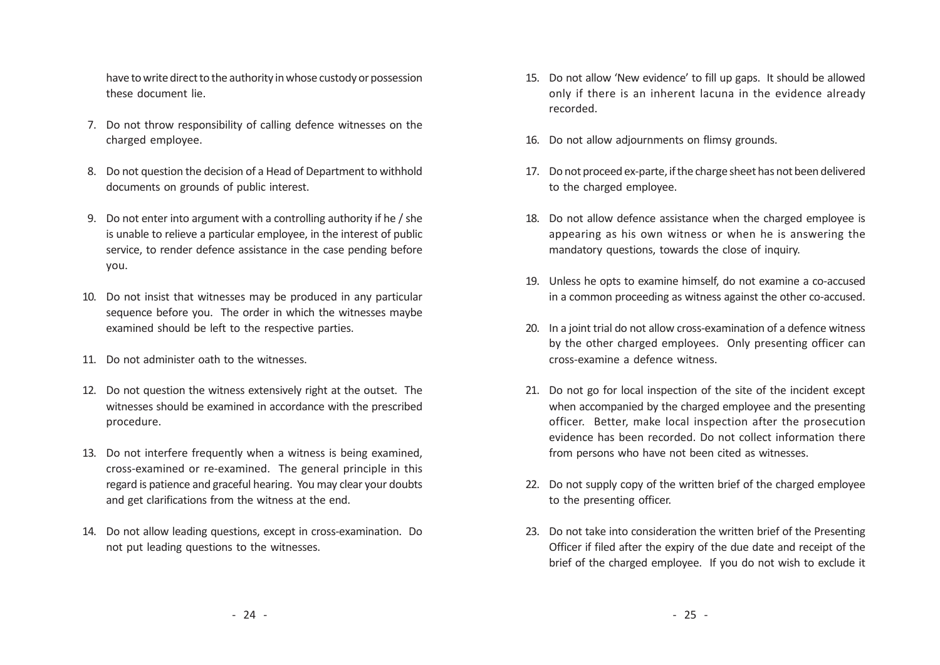have to write direct to the authority in whose custody or possession these document lie.

- 7. Do not throw responsibility of calling defence witnesses on the charged employee.
- 8. Do not question the decision of a Head of Department to withhold documents on grounds of public interest.
- 9. Do not enter into argument with a controlling authority if he / she is unable to relieve a particular employee, in the interest of public service, to render defence assistance in the case pending before you.
- 10. Do not insist that witnesses may be produced in any particular sequence before you. The order in which the witnesses maybe examined should be left to the respective parties.
- 11. Do not administer oath to the witnesses.
- 12. Do not question the witness extensively right at the outset. The witnesses should be examined in accordance with the prescribed procedure.
- 13. Do not interfere frequently when a witness is being examined, cross-examined or re-examined. The general principle in this regard is patience and graceful hearing. You may clear your doubts and get clarifications from the witness at the end.
- 14. Do not allow leading questions, except in cross-examination. Do not put leading questions to the witnesses.
- 15. Do not allow 'New evidence' to fill up gaps. It should be allowed only if there is an inherent lacuna in the evidence already recorded.
- 16. Do not allow adjournments on flimsy grounds.
- 17. Do not proceed ex-parte, if the charge sheet has not been delivered to the charged employee.
- 18. Do not allow defence assistance when the charged employee is appearing as his own witness or when he is answering the mandatory questions, towards the close of inquiry.
- 19. Unless he opts to examine himself, do not examine a co-accused in a common proceeding as witness against the other co-accused.
- 20. In a joint trial do not allow cross-examination of a defence witness by the other charged employees. Only presenting officer can cross-examine a defence witness.
- 21. Do not go for local inspection of the site of the incident except when accompanied by the charged employee and the presenting officer. Better, make local inspection after the prosecution evidence has been recorded. Do not collect information there from persons who have not been cited as witnesses.
- 22. Do not supply copy of the written brief of the charged employee to the presenting officer.
- 23. Do not take into consideration the written brief of the Presenting Officer if filed after the expiry of the due date and receipt of the brief of the charged employee. If you do not wish to exclude it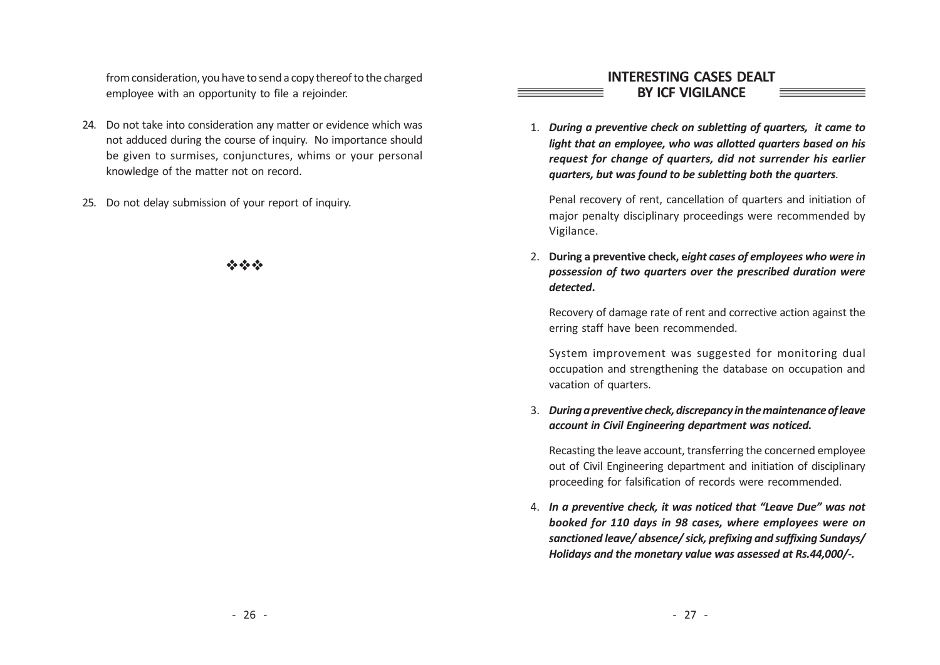from consideration, you have to send a copy thereof to the charged emplo yee with an opportunity to file a rejoinder.

- 24. Do not take into consideration any matter or evidence which was not adduced during the course of inquir y. No importance should be given to surmises, conjunctures, whims or your personal knowledge of the matter not on record.
- 25. Do not delay submission of your report of inquiry.

 $v_{\rm c}^{\rm c}$ va v $v_{\rm c}^{\rm c}$ 

## INTERE STING CASES DEALT BY ICF VIGILANCE

1. During a preventive check on subletting of quarters, it came to light that an employee, who was allotted quarters based on his request for change of quarters, did not surrender his earlier quarters, but was found to be subletting both the quarters.

Penal recovery of rent, cancellation of quarters and initiation of major penalty disciplinary proceedings were recommended by Vigilance.

2. During a preventive check, eight cases of employees who were in possession of two quarters over the prescribed duration were detected.

Recovery of damage rate of rent and corrective action against the erring staff have been recommended.

System improvement was suggested for monitoring dual occupation and strengthening the database on occupation and vacation of quarters.

3. During a preventive check, discrepancy in the maintenance of leave account in Civil Engineering department was noticed.

Recasting the leave account, transferring the concerned employee out of Civil Engineering department and initiation of disciplinary proceeding for falsification of records were recommended.

4. In a preventive check, it was noticed that "Leave Due" was not booked for 110 days in 98 cases, where employees were on sanctioned leave/ absence/ sick, prefixing and suffixing Sundays/ Holidays and the monetary value was assessed at Rs.44,000/-.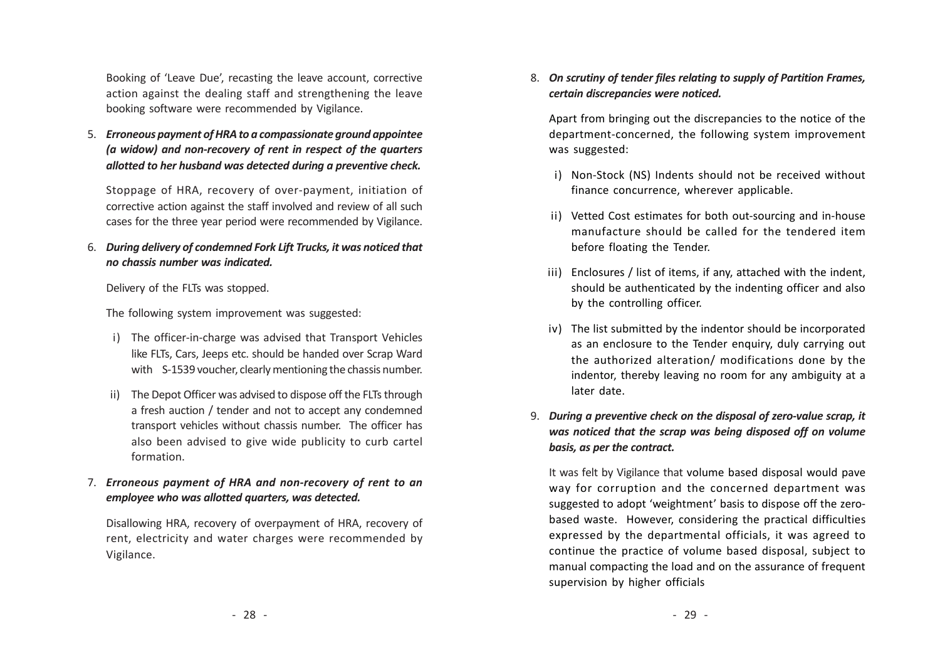Booking of 'Leave Due', recasting the leave account, corrective action against the dealing staff and strengthening the leave booking software were recommended by Vigilance.

5. Erroneous payment of HRA to a compassionate ground appointee (a widow) and non-recovery of rent in respect of the quarters allotted to her husband was detected during a preventive check.

Stoppage of HRA, recovery of over-payment, initiation of corrective action against the staff involved and review of all such cases for the three year period were recommended by Vigilance.

6. During delivery of condemned Fork Lift Trucks, it was noticed that no chassis number was indicated.

Delivery of the FLTs was stopped.

The following system improvement was suggested:

- i) The officer-in-charge was advised that Transport Vehicles like FLTs, Cars, Jeeps etc. should be handed over Scrap Ward with S-1539 voucher, clearly mentioning the chassis number.
- ii) The Depot Officer was advised to dispose off the FLTs through a fresh auction / tender and not to accept any condemned transport vehicles without chassis number. The officer has also been advised to give wide publicity to curb cartel formation.
- 7. Erroneous payment of HRA and non-recovery of rent to an employee who was allotted quarters, was detected.

Disallowing HRA, recovery of overpayment of HRA, recovery of rent, electricity and water charges were recommended by Vigilance.

8. On scrutiny of tender files relating to supply of Partition Frames, certain discrepancies were noticed.

Apart from bringing out the discrepancies to the notice of the department-concerned, the following system improvement was suggested:

- i) Non-Stock (NS) Indents should not be received without finance concurrence, wherever applicable.
- ii) Vetted Cost estimates for both out-sourcing and in-house manufacture should be called for the tendered item before floating the Tender.
- iii) Enclosures / list of items, if any, attached with the indent, should be authenticated by the indenting officer and also by the controlling officer.
- iv) The list submitted by the indentor should be incorporated as an enclosure to the Tender enquiry, duly carrying out the authorized alteration/ modifications done by the indentor, thereby leaving no room for any ambiguity at a later date.
- 9. During a preventive check on the disposal of zero-value scrap, it was noticed that the scrap was being disposed off on volume basis, as per the contract.

It was felt by Vigilance that volume based disposal would pave way for corruption and the concerned department was suggested to adopt 'weightment' basis to dispose off the zerobased waste. However, considering the practical difficulties expressed by the departmental officials, it was agreed to continue the practice of volume based disposal, subject to manual compacting the load and on the assurance of frequent supervision by higher officials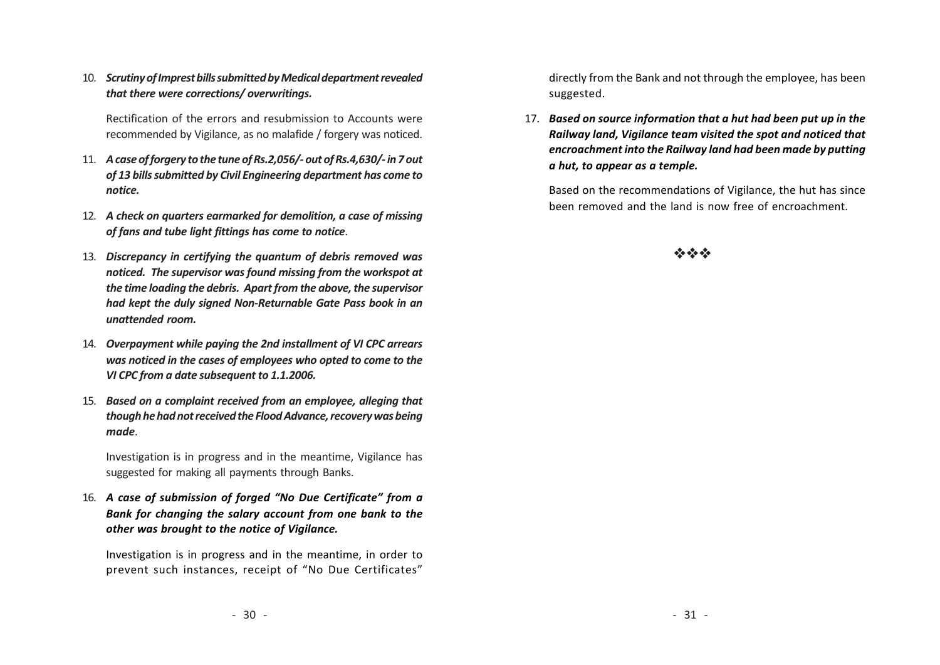10. Scrutiny of Imprest bills submitted by Medical department revealed that there were corrections/ overwritings.

Rectification of the errors and resubmission to Accounts were recommended by Vigilance, as no malafide / forgery was noticed.

- 11. A case of forgery to the tune of Rs.2,056/- out of Rs.4,630/- in 7 out of 13 bills submitted by Civil Engineering department has come to notice.
- 12. A check on quarters earmarked for demolition, a case of missing of fans and tube light fittings has come to notice.
- 13. Discrepancy in certifying the quantum of debris removed was noticed. The supervisor was found missing from the workspot at the time loading the debris. Apart from the above, the supervisor had kept the duly signed Non-Returnable Gate Pass book in an unattended room.
- 14. Overpayment while paying the 2nd installment of VI CPC arrears was noticed in the cases of employees who opted to come to the VI CPC from a date subsequent to 1.1.2006.
- 15. Based on a complaint received from an employee, alleging that though he had not received the Flood Advance, recovery was being made.

Investigation is in progress and in the meantime, Vigilance has suggested for making all payments through Banks.

16. A case of submission of forged "No Due Certificate" from a Bank for changing the salary account from one bank to the other was brought to the notice of Vigilance.

Investigation is in progress and in the meantime, in order to prevent such instances, receipt of "No Due Certificates" directly from the Bank and not through the employee, has been suggested.

17. Based on source information that a hut had been put up in the Railway land, Vigilance team visited the spot and noticed that encroachment into the Railway land had been made by putting a hut, to appear as a temple.

Based on the recommendations of Vigilance, the hut has since been removed and the land is now free of encroachment.

## vivo de Ar